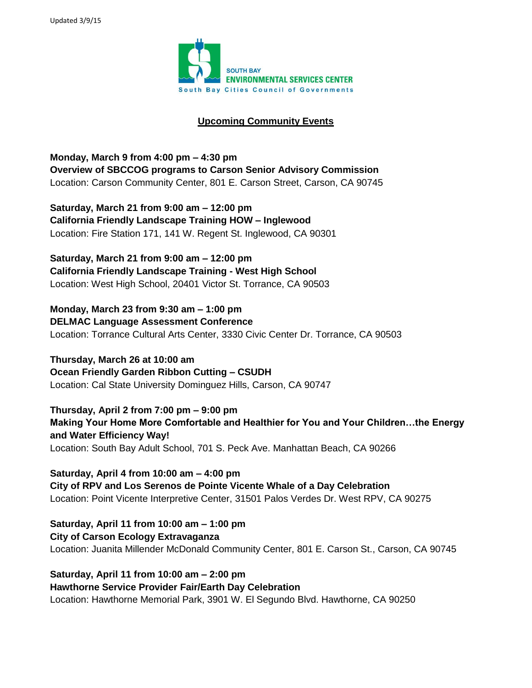

## **Upcoming Community Events**

**Monday, March 9 from 4:00 pm – 4:30 pm Overview of SBCCOG programs to Carson Senior Advisory Commission** Location: Carson Community Center, 801 E. Carson Street, Carson, CA 90745

**Saturday, March 21 from 9:00 am – 12:00 pm California Friendly Landscape Training HOW – Inglewood** Location: Fire Station 171, 141 W. Regent St. Inglewood, CA 90301

**Saturday, March 21 from 9:00 am – 12:00 pm California Friendly Landscape Training - West High School** Location: West High School, 20401 Victor St. Torrance, CA 90503

**Monday, March 23 from 9:30 am – 1:00 pm DELMAC Language Assessment Conference** Location: Torrance Cultural Arts Center, 3330 Civic Center Dr. Torrance, CA 90503

**Thursday, March 26 at 10:00 am Ocean Friendly Garden Ribbon Cutting – CSUDH** Location: Cal State University Dominguez Hills, Carson, CA 90747

**Thursday, April 2 from 7:00 pm – 9:00 pm Making Your Home More Comfortable and Healthier for You and Your Children…the Energy and Water Efficiency Way!** Location: South Bay Adult School, 701 S. Peck Ave. Manhattan Beach, CA 90266

**Saturday, April 4 from 10:00 am – 4:00 pm City of RPV and Los Serenos de Pointe Vicente Whale of a Day Celebration** Location: Point Vicente Interpretive Center, 31501 Palos Verdes Dr. West RPV, CA 90275

**Saturday, April 11 from 10:00 am – 1:00 pm City of Carson Ecology Extravaganza** Location: Juanita Millender McDonald Community Center, 801 E. Carson St., Carson, CA 90745

**Saturday, April 11 from 10:00 am – 2:00 pm Hawthorne Service Provider Fair/Earth Day Celebration** Location: Hawthorne Memorial Park, 3901 W. El Segundo Blvd. Hawthorne, CA 90250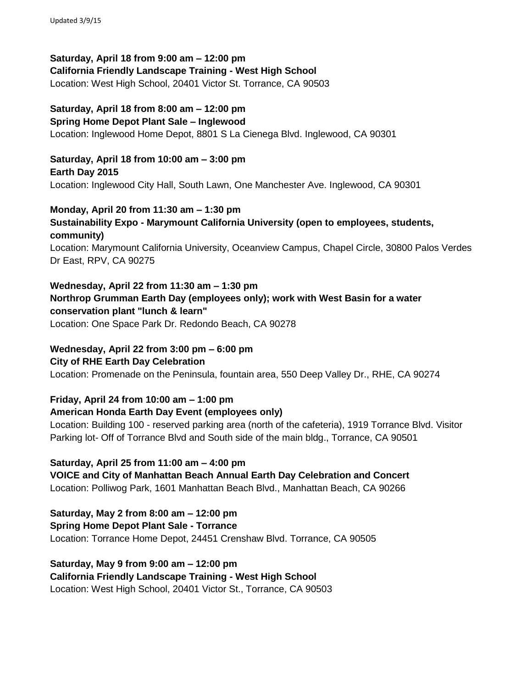**Saturday, April 18 from 9:00 am – 12:00 pm California Friendly Landscape Training - West High School** Location: West High School, 20401 Victor St. Torrance, CA 90503

**Saturday, April 18 from 8:00 am – 12:00 pm Spring Home Depot Plant Sale – Inglewood** Location: Inglewood Home Depot, 8801 S La Cienega Blvd. Inglewood, CA 90301

**Saturday, April 18 from 10:00 am – 3:00 pm Earth Day 2015** Location: Inglewood City Hall, South Lawn, One Manchester Ave. Inglewood, CA 90301

**Monday, April 20 from 11:30 am – 1:30 pm Sustainability Expo - Marymount California University (open to employees, students, community)**

Location: Marymount California University, Oceanview Campus, Chapel Circle, 30800 Palos Verdes Dr East, RPV, CA 90275

**Wednesday, April 22 from 11:30 am – 1:30 pm Northrop Grumman Earth Day (employees only); work with West Basin for a water conservation plant "lunch & learn"** Location: One Space Park Dr. Redondo Beach, CA 90278

**Wednesday, April 22 from 3:00 pm – 6:00 pm City of RHE Earth Day Celebration**

Location: Promenade on the Peninsula, fountain area, 550 Deep Valley Dr., RHE, CA 90274

**Friday, April 24 from 10:00 am – 1:00 pm**

**American Honda Earth Day Event (employees only)**

Location: Building 100 - reserved parking area (north of the cafeteria), 1919 Torrance Blvd. Visitor Parking lot- Off of Torrance Blvd and South side of the main bldg., Torrance, CA 90501

**Saturday, April 25 from 11:00 am – 4:00 pm VOICE and City of Manhattan Beach Annual Earth Day Celebration and Concert** Location: Polliwog Park, 1601 Manhattan Beach Blvd., Manhattan Beach, CA 90266

**Saturday, May 2 from 8:00 am – 12:00 pm Spring Home Depot Plant Sale - Torrance** Location: Torrance Home Depot, 24451 Crenshaw Blvd. Torrance, CA 90505

**Saturday, May 9 from 9:00 am – 12:00 pm California Friendly Landscape Training - West High School** Location: West High School, 20401 Victor St., Torrance, CA 90503